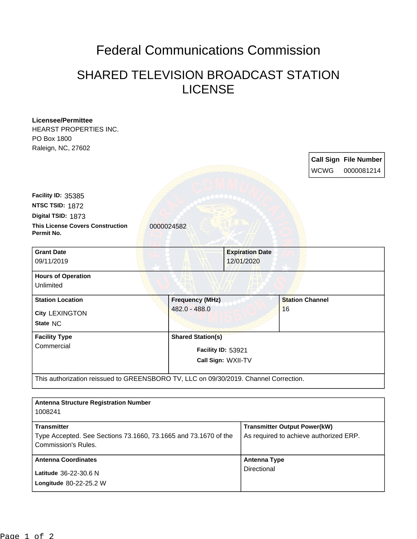## Federal Communications Commission

## SHARED TELEVISION BROADCAST STATION LICENSE

| <b>Licensee/Permittee</b><br>HEARST PROPERTIES INC.                                    |                          |  |                                     |                        |                                        |                              |
|----------------------------------------------------------------------------------------|--------------------------|--|-------------------------------------|------------------------|----------------------------------------|------------------------------|
| PO Box 1800                                                                            |                          |  |                                     |                        |                                        |                              |
| Raleign, NC, 27602                                                                     |                          |  |                                     |                        |                                        | <b>Call Sign File Number</b> |
|                                                                                        |                          |  |                                     |                        | <b>WCWG</b>                            | 0000081214                   |
|                                                                                        |                          |  |                                     |                        |                                        |                              |
| Facility ID: 35385                                                                     |                          |  |                                     |                        |                                        |                              |
| NTSC TSID: 1872                                                                        |                          |  |                                     |                        |                                        |                              |
| Digital TSID: 1873                                                                     |                          |  |                                     |                        |                                        |                              |
| <b>This License Covers Construction</b><br>Permit No.                                  | 0000024582               |  |                                     |                        |                                        |                              |
| <b>Grant Date</b>                                                                      |                          |  | <b>Expiration Date</b>              |                        |                                        |                              |
| 09/11/2019                                                                             |                          |  | 12/01/2020                          |                        |                                        |                              |
| <b>Hours of Operation</b>                                                              |                          |  |                                     |                        |                                        |                              |
| Unlimited                                                                              |                          |  |                                     |                        |                                        |                              |
| <b>Station Location</b>                                                                | <b>Frequency (MHz)</b>   |  |                                     | <b>Station Channel</b> |                                        |                              |
| <b>City LEXINGTON</b>                                                                  | 482.0 - 488.0            |  |                                     | 16                     |                                        |                              |
| State NC                                                                               |                          |  |                                     |                        |                                        |                              |
| <b>Facility Type</b>                                                                   | <b>Shared Station(s)</b> |  |                                     |                        |                                        |                              |
| Commercial                                                                             | Facility ID: 53921       |  |                                     |                        |                                        |                              |
|                                                                                        | Call Sign: WXII-TV       |  |                                     |                        |                                        |                              |
|                                                                                        |                          |  |                                     |                        |                                        |                              |
| This authorization reissued to GREENSBORO TV, LLC on 09/30/2019. Channel Correction.   |                          |  |                                     |                        |                                        |                              |
|                                                                                        |                          |  |                                     |                        |                                        |                              |
| <b>Antenna Structure Registration Number</b>                                           |                          |  |                                     |                        |                                        |                              |
| 1008241                                                                                |                          |  |                                     |                        |                                        |                              |
| <b>Transmitter</b>                                                                     |                          |  | <b>Transmitter Output Power(kW)</b> |                        |                                        |                              |
| Type Accepted. See Sections 73.1660, 73.1665 and 73.1670 of the<br>Commission's Rules. |                          |  |                                     |                        | As required to achieve authorized ERP. |                              |
| <b>Antenna Coordinates</b>                                                             |                          |  | <b>Antenna Type</b>                 |                        |                                        |                              |

Directional

**Longitude** 80-22-25.2 W **Latitude** 36-22-30.6 N